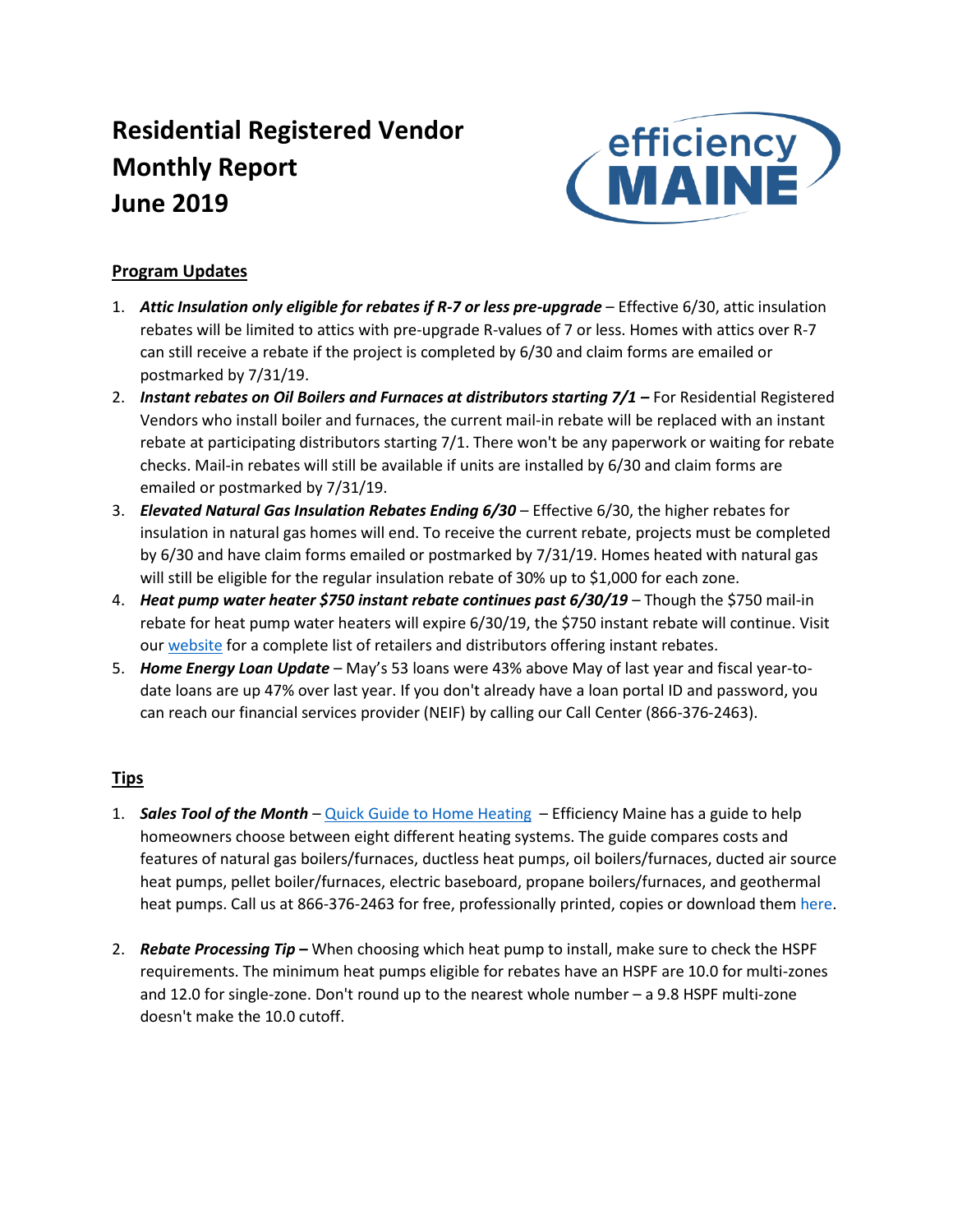# **Residential Registered Vendor Monthly Report June 2019**



## **Program Updates**

- 1. Attic Insulation only eligible for rebates if R-7 or less pre-upgrade Effective 6/30, attic insulation rebates will be limited to attics with pre-upgrade R-values of 7 or less. Homes with attics over R-7 can still receive a rebate if the project is completed by 6/30 and claim forms are emailed or postmarked by 7/31/19.
- 2. *Instant rebates on Oil Boilers and Furnaces at distributors starting 7/1 For Residential Registered* Vendors who install boiler and furnaces, the current mail-in rebate will be replaced with an instant rebate at participating distributors starting 7/1. There won't be any paperwork or waiting for rebate checks. Mail-in rebates will still be available if units are installed by 6/30 and claim forms are emailed or postmarked by 7/31/19.
- 3. *Elevated Natural Gas Insulation Rebates Ending 6/30*  Effective 6/30, the higher rebates for insulation in natural gas homes will end. To receive the current rebate, projects must be completed by 6/30 and have claim forms emailed or postmarked by 7/31/19. Homes heated with natural gas will still be eligible for the regular insulation rebate of 30% up to \$1,000 for each zone.
- 4. *Heat pump water heater \$750 instant rebate continues past 6/30/19* Though the \$750 mail-in rebate for heat pump water heaters will expire 6/30/19, the \$750 instant rebate will continue. Visit our [website](https://www.efficiencymaine.com/docs/EM-HPWH-Instant-Rebate-Locations.pdf) for a complete list of retailers and distributors offering instant rebates.
- 5. *Home Energy Loan Update* May's 53 loans were 43% above May of last year and fiscal year-todate loans are up 47% over last year. If you don't already have a loan portal ID and password, you can reach our financial services provider (NEIF) by calling our Call Center (866-376-2463).

## **Tips**

- 1. *Sales Tool of the Month*  [Quick Guide to Home Heating](https://www.efficiencymaine.com/docs/EM-Quick-Guide-to-Home-Heating.pdf)  Efficiency Maine has a guide to help homeowners choose between eight different heating systems. The guide compares costs and features of natural gas boilers/furnaces, ductless heat pumps, oil boilers/furnaces, ducted air source heat pumps, pellet boiler/furnaces, electric baseboard, propane boilers/furnaces, and geothermal heat pumps. Call us at 866-376-2463 for free, professionally printed, copies or download them [here.](https://www.efficiencymaine.com/docs/EM-Quick-Guide-to-Home-Heating.pdf)
- 2. *Rebate Processing Tip* **–** When choosing which heat pump to install, make sure to check the HSPF requirements. The minimum heat pumps eligible for rebates have an HSPF are 10.0 for multi-zones and 12.0 for single-zone. Don't round up to the nearest whole number – a 9.8 HSPF multi-zone doesn't make the 10.0 cutoff.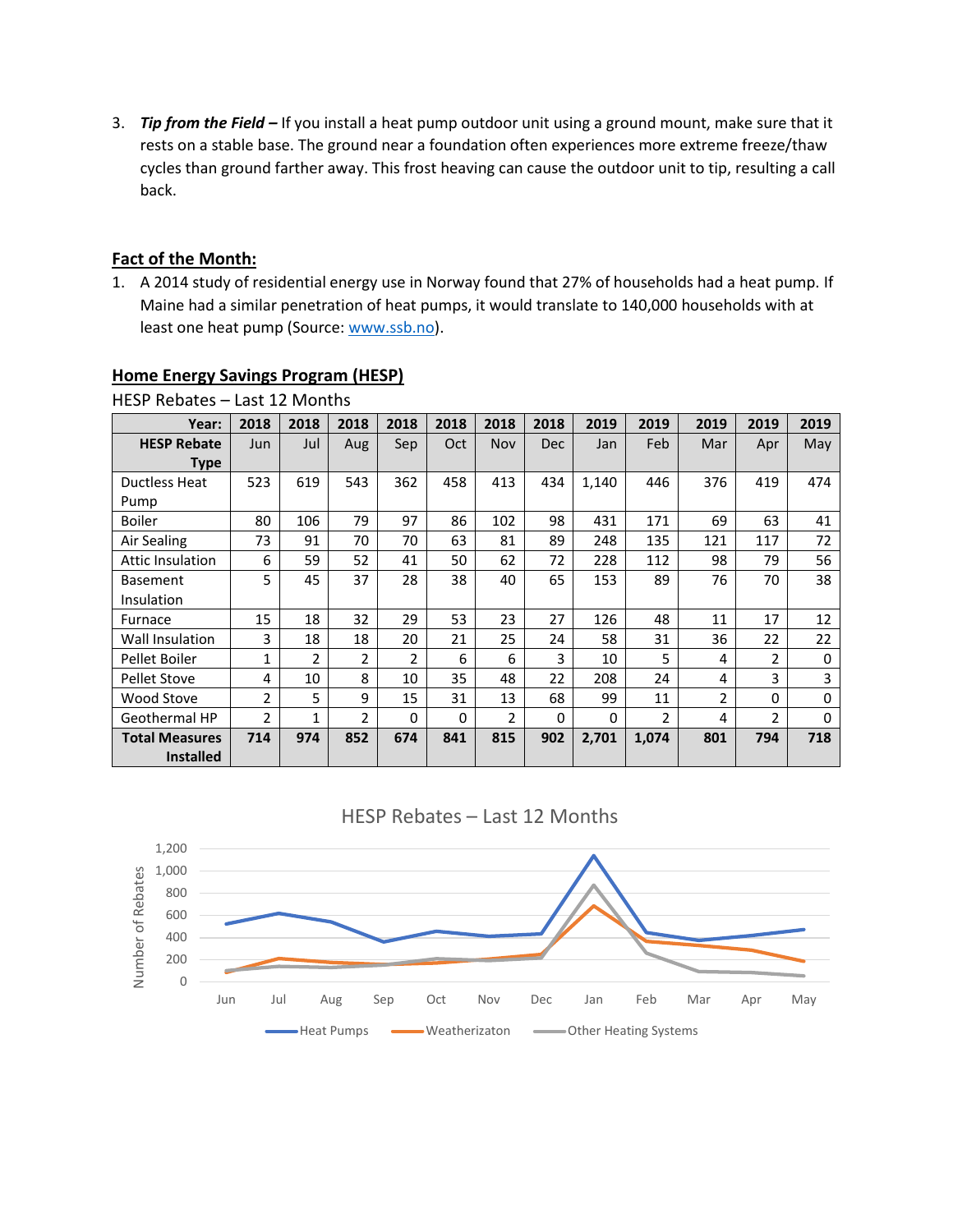3. *Tip from the Field –* If you install a heat pump outdoor unit using a ground mount, make sure that it rests on a stable base. The ground near a foundation often experiences more extreme freeze/thaw cycles than ground farther away. This frost heaving can cause the outdoor unit to tip, resulting a call back.

#### **Fact of the Month:**

1. A 2014 study of residential energy use in Norway found that 27% of households had a heat pump. If Maine had a similar penetration of heat pumps, it would translate to 140,000 households with at least one heat pump (Source: [www.ssb.no\)](https://www.ssb.no/en/energi-og-industri/artikler-og-publikasjoner/large-increase-in-the-use-of-heat-pumps).

| HESP Rebates – Last 12 Months |      |              |                |                |      |                |            |          |                |                |                |          |
|-------------------------------|------|--------------|----------------|----------------|------|----------------|------------|----------|----------------|----------------|----------------|----------|
| Year:                         | 2018 | 2018         | 2018           | 2018           | 2018 | 2018           | 2018       | 2019     | 2019           | 2019           | 2019           | 2019     |
| <b>HESP Rebate</b>            | Jun  | Jul          | Aug            | Sep            | Oct  | <b>Nov</b>     | <b>Dec</b> | Jan      | Feb            | Mar            | Apr            | May      |
| <b>Type</b>                   |      |              |                |                |      |                |            |          |                |                |                |          |
| <b>Ductless Heat</b>          | 523  | 619          | 543            | 362            | 458  | 413            | 434        | 1,140    | 446            | 376            | 419            | 474      |
| Pump                          |      |              |                |                |      |                |            |          |                |                |                |          |
| <b>Boiler</b>                 | 80   | 106          | 79             | 97             | 86   | 102            | 98         | 431      | 171            | 69             | 63             | 41       |
| Air Sealing                   | 73   | 91           | 70             | 70             | 63   | 81             | 89         | 248      | 135            | 121            | 117            | 72       |
| <b>Attic Insulation</b>       | 6    | 59           | 52             | 41             | 50   | 62             | 72         | 228      | 112            | 98             | 79             | 56       |
| <b>Basement</b>               | 5    | 45           | 37             | 28             | 38   | 40             | 65         | 153      | 89             | 76             | 70             | 38       |
| Insulation                    |      |              |                |                |      |                |            |          |                |                |                |          |
| Furnace                       | 15   | 18           | 32             | 29             | 53   | 23             | 27         | 126      | 48             | 11             | 17             | 12       |
| Wall Insulation               | 3    | 18           | 18             | 20             | 21   | 25             | 24         | 58       | 31             | 36             | 22             | 22       |
| Pellet Boiler                 | 1    | 2            | 2              | $\overline{2}$ | 6    | 6              | 3          | 10       | 5              | 4              | $\overline{2}$ | 0        |
| <b>Pellet Stove</b>           | 4    | 10           | 8              | 10             | 35   | 48             | 22         | 208      | 24             | 4              | 3              | 3        |
| Wood Stove                    | 2    | 5            | 9              | 15             | 31   | 13             | 68         | 99       | 11             | $\overline{2}$ | 0              | 0        |
| Geothermal HP                 | 2    | $\mathbf{1}$ | $\overline{2}$ | $\Omega$       | 0    | $\overline{2}$ | 0          | $\Omega$ | $\overline{2}$ | 4              | 2              | $\Omega$ |
| <b>Total Measures</b>         | 714  | 974          | 852            | 674            | 841  | 815            | 902        | 2,701    | 1,074          | 801            | 794            | 718      |
| <b>Installed</b>              |      |              |                |                |      |                |            |          |                |                |                |          |

### **Home Energy Savings Program (HESP)**

HESP Rebates – Last 12 Months